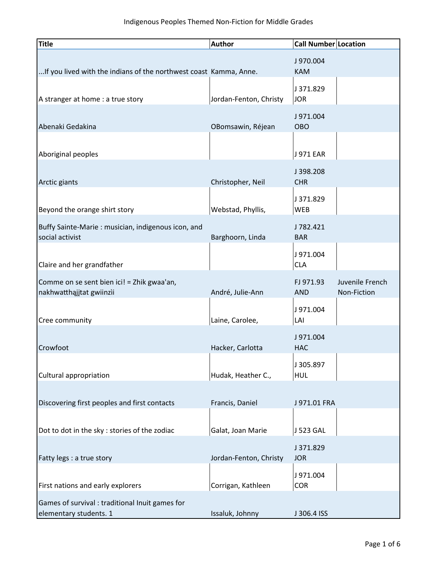| <b>Title</b>                                                              | <b>Author</b>          | <b>Call Number Location</b> |                                |
|---------------------------------------------------------------------------|------------------------|-----------------------------|--------------------------------|
| If you lived with the indians of the northwest coast Kamma, Anne.         |                        | J970.004<br><b>KAM</b>      |                                |
| A stranger at home : a true story                                         | Jordan-Fenton, Christy | J371.829<br><b>JOR</b>      |                                |
| Abenaki Gedakina                                                          | OBomsawin, Réjean      | J971.004<br><b>OBO</b>      |                                |
| Aboriginal peoples                                                        |                        | J 971 EAR                   |                                |
| Arctic giants                                                             | Christopher, Neil      | J398.208<br><b>CHR</b>      |                                |
| Beyond the orange shirt story                                             | Webstad, Phyllis,      | J371.829<br>WEB             |                                |
| Buffy Sainte-Marie: musician, indigenous icon, and<br>social activist     | Barghoorn, Linda       | J782.421<br><b>BAR</b>      |                                |
| Claire and her grandfather                                                |                        | J971.004<br><b>CLA</b>      |                                |
| Comme on se sent bien ici! = Zhik gwaa'an,<br>nakhwatthąįįtat gwiinzìi    | André, Julie-Ann       | FJ 971.93<br><b>AND</b>     | Juvenile French<br>Non-Fiction |
| Cree community                                                            | Laine, Carolee,        | J971.004<br>LAI             |                                |
| Crowfoot                                                                  | Hacker, Carlotta       | J971.004<br><b>HAC</b>      |                                |
| <b>Cultural appropriation</b>                                             | Hudak, Heather C.,     | J305.897<br><b>HUL</b>      |                                |
| Discovering first peoples and first contacts                              | Francis, Daniel        | J 971.01 FRA                |                                |
| Dot to dot in the sky : stories of the zodiac                             | Galat, Joan Marie      | J 523 GAL                   |                                |
| Fatty legs : a true story                                                 | Jordan-Fenton, Christy | J371.829<br><b>JOR</b>      |                                |
| First nations and early explorers                                         | Corrigan, Kathleen     | J971.004<br><b>COR</b>      |                                |
| Games of survival : traditional Inuit games for<br>elementary students. 1 | Issaluk, Johnny        | J 306.4 ISS                 |                                |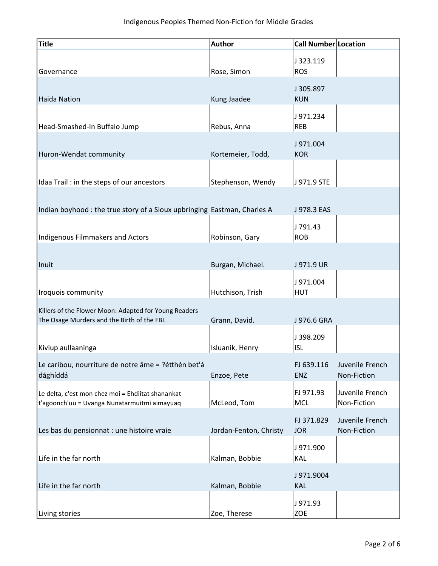| <b>Title</b>                                                                                         | <b>Author</b>          | <b>Call Number Location</b> |                                |
|------------------------------------------------------------------------------------------------------|------------------------|-----------------------------|--------------------------------|
| Governance                                                                                           | Rose, Simon            | J323.119<br><b>ROS</b>      |                                |
| <b>Haida Nation</b>                                                                                  | Kung Jaadee            | J305.897<br><b>KUN</b>      |                                |
| Head-Smashed-In Buffalo Jump                                                                         | Rebus, Anna            | J971.234<br>REB             |                                |
| Huron-Wendat community                                                                               | Kortemeier, Todd,      | J971.004<br><b>KOR</b>      |                                |
| Idaa Trail: in the steps of our ancestors                                                            | Stephenson, Wendy      | J 971.9 STE                 |                                |
| Indian boyhood: the true story of a Sioux upbringing Eastman, Charles A                              |                        | J 978.3 EAS                 |                                |
| Indigenous Filmmakers and Actors                                                                     | Robinson, Gary         | J791.43<br>ROB              |                                |
| Inuit                                                                                                | Burgan, Michael.       | J971.9 UR                   |                                |
| Iroquois community                                                                                   | Hutchison, Trish       | J971.004<br><b>HUT</b>      |                                |
| Killers of the Flower Moon: Adapted for Young Readers<br>The Osage Murders and the Birth of the FBI. | Grann, David.          | J 976.6 GRA                 |                                |
| Kiviup aullaaninga                                                                                   | Isluanik, Henry        | J398.209<br><b>ISL</b>      |                                |
| Le caribou, nourriture de notre âme = ?étthén bet'á<br>dághíddá                                      | Enzoe, Pete            | FJ 639.116<br><b>ENZ</b>    | Juvenile French<br>Non-Fiction |
| Le delta, c'est mon chez moi = Ehdiitat shanankat<br>t'agoonch'uu = Uvanga Nunatarmuitmi aimayuaq    | McLeod, Tom            | FJ 971.93<br><b>MCL</b>     | Juvenile French<br>Non-Fiction |
| Les bas du pensionnat : une histoire vraie                                                           | Jordan-Fenton, Christy | FJ 371.829<br><b>JOR</b>    | Juvenile French<br>Non-Fiction |
| Life in the far north                                                                                | Kalman, Bobbie         | J971.900<br><b>KAL</b>      |                                |
| Life in the far north                                                                                | Kalman, Bobbie         | J971.9004<br><b>KAL</b>     |                                |
| Living stories                                                                                       | Zoe, Therese           | J971.93<br><b>ZOE</b>       |                                |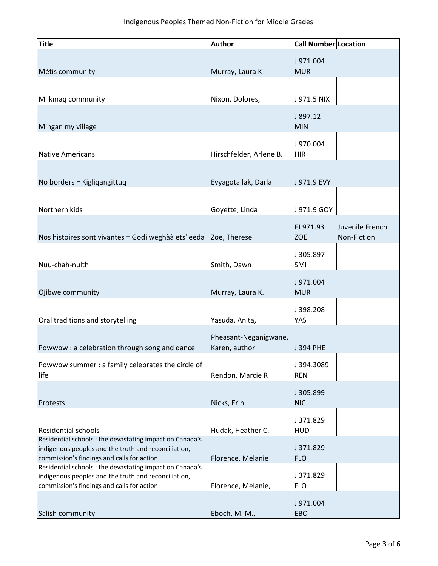| <b>Title</b>                                                                                                                                                                                                                                                                                                                    | <b>Author</b>                          | <b>Call Number Location</b> |                                |
|---------------------------------------------------------------------------------------------------------------------------------------------------------------------------------------------------------------------------------------------------------------------------------------------------------------------------------|----------------------------------------|-----------------------------|--------------------------------|
| Métis community                                                                                                                                                                                                                                                                                                                 | Murray, Laura K                        | J971.004<br><b>MUR</b>      |                                |
| Mi'kmaq community                                                                                                                                                                                                                                                                                                               | Nixon, Dolores,                        | J 971.5 NIX                 |                                |
| Mingan my village                                                                                                                                                                                                                                                                                                               |                                        | J 897.12<br><b>MIN</b>      |                                |
| <b>Native Americans</b>                                                                                                                                                                                                                                                                                                         | Hirschfelder, Arlene B.                | J 970.004<br>HIR            |                                |
| No borders = Kigligangittug                                                                                                                                                                                                                                                                                                     | Evyagotailak, Darla                    | J 971.9 EVY                 |                                |
| Northern kids                                                                                                                                                                                                                                                                                                                   | Goyette, Linda                         | J 971.9 GOY                 |                                |
| Nos histoires sont vivantes = Godi weghàà ets' eèda                                                                                                                                                                                                                                                                             | Zoe, Therese                           | FJ 971.93<br><b>ZOE</b>     | Juvenile French<br>Non-Fiction |
| Nuu-chah-nulth                                                                                                                                                                                                                                                                                                                  | Smith, Dawn                            | J 305.897<br><b>SMI</b>     |                                |
| Ojibwe community                                                                                                                                                                                                                                                                                                                | Murray, Laura K.                       | J971.004<br><b>MUR</b>      |                                |
| Oral traditions and storytelling                                                                                                                                                                                                                                                                                                | Yasuda, Anita,                         | J 398.208<br>YAS            |                                |
| Powwow: a celebration through song and dance                                                                                                                                                                                                                                                                                    | Pheasant-Neganigwane,<br>Karen, author | J 394 PHE                   |                                |
| Powwow summer : a family celebrates the circle of<br>life                                                                                                                                                                                                                                                                       | Rendon, Marcie R                       | J 394.3089<br>REN           |                                |
| Protests                                                                                                                                                                                                                                                                                                                        | Nicks, Erin                            | J 305.899<br><b>NIC</b>     |                                |
| <b>Residential schools</b>                                                                                                                                                                                                                                                                                                      | Hudak, Heather C.                      | J 371.829<br>HUD            |                                |
| Residential schools: the devastating impact on Canada's<br>indigenous peoples and the truth and reconciliation,<br>commission's findings and calls for action<br>Residential schools : the devastating impact on Canada's<br>indigenous peoples and the truth and reconciliation,<br>commission's findings and calls for action | Florence, Melanie                      | J371.829<br><b>FLO</b>      |                                |
|                                                                                                                                                                                                                                                                                                                                 | Florence, Melanie,                     | J 371.829<br>FLO            |                                |
| Salish community                                                                                                                                                                                                                                                                                                                | Eboch, M. M.,                          | J971.004<br>EBO             |                                |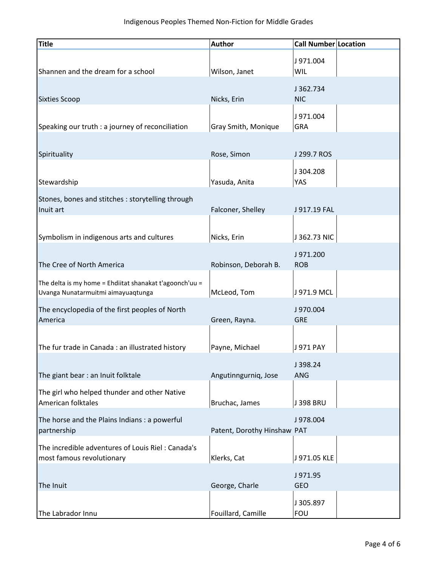| <b>Title</b>                                                                                  | <b>Author</b>               | <b>Call Number Location</b> |
|-----------------------------------------------------------------------------------------------|-----------------------------|-----------------------------|
| Shannen and the dream for a school                                                            | Wilson, Janet               | J971.004<br>WIL             |
| <b>Sixties Scoop</b>                                                                          | Nicks, Erin                 | J362.734<br><b>NIC</b>      |
| Speaking our truth : a journey of reconciliation                                              | Gray Smith, Monique         | J971.004<br><b>GRA</b>      |
| Spirituality                                                                                  | Rose, Simon                 | J 299.7 ROS                 |
| Stewardship                                                                                   | Yasuda, Anita               | J304.208<br>YAS             |
| Stones, bones and stitches : storytelling through<br>Inuit art                                | Falconer, Shelley           | J 917.19 FAL                |
| Symbolism in indigenous arts and cultures                                                     | Nicks, Erin                 | J 362.73 NIC                |
| The Cree of North America                                                                     | Robinson, Deborah B.        | J971.200<br><b>ROB</b>      |
| The delta is my home = Ehdiitat shanakat t'agoonch'uu =<br>Uvanga Nunatarmuitmi aimayuaqtunga | McLeod, Tom                 | J 971.9 MCL                 |
| The encyclopedia of the first peoples of North<br>America                                     | Green, Rayna.               | J970.004<br><b>GRE</b>      |
| The fur trade in Canada : an illustrated history                                              | Payne, Michael              | J 971 PAY                   |
| The giant bear : an Inuit folktale                                                            | Angutinngurniq, Jose        | J398.24<br>ANG              |
| The girl who helped thunder and other Native<br>American folktales                            | Bruchac, James              | <b>J398 BRU</b>             |
| The horse and the Plains Indians : a powerful<br>partnership                                  | Patent, Dorothy Hinshaw PAT | J978.004                    |
| The incredible adventures of Louis Riel: Canada's<br>most famous revolutionary                | Klerks, Cat                 | J 971.05 KLE                |
| The Inuit                                                                                     | George, Charle              | J971.95<br><b>GEO</b>       |
| The Labrador Innu                                                                             | Fouillard, Camille          | J305.897<br><b>FOU</b>      |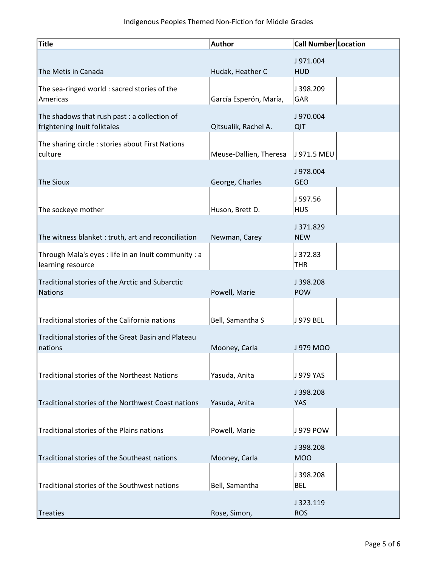| <b>Title</b>                                                               | <b>Author</b>          | <b>Call Number Location</b> |
|----------------------------------------------------------------------------|------------------------|-----------------------------|
| The Metis in Canada                                                        | Hudak, Heather C       | J971.004<br><b>HUD</b>      |
| The sea-ringed world : sacred stories of the<br>Americas                   | García Esperón, María, | J398.209<br>GAR             |
| The shadows that rush past: a collection of<br>frightening Inuit folktales | Qitsualik, Rachel A.   | J970.004<br><b>QIT</b>      |
| The sharing circle : stories about First Nations<br>culture                | Meuse-Dallien, Theresa | J 971.5 MEU                 |
| <b>The Sioux</b>                                                           | George, Charles        | J978.004<br><b>GEO</b>      |
| The sockeye mother                                                         | Huson, Brett D.        | J597.56<br><b>HUS</b>       |
| The witness blanket : truth, art and reconciliation                        | Newman, Carey          | J371.829<br><b>NEW</b>      |
| Through Mala's eyes : life in an Inuit community : a<br>learning resource  |                        | J372.83<br><b>THR</b>       |
| Traditional stories of the Arctic and Subarctic<br><b>Nations</b>          | Powell, Marie          | J398.208<br>POW             |
| Traditional stories of the California nations                              | Bell, Samantha S       | J 979 BEL                   |
| Traditional stories of the Great Basin and Plateau<br>nations              | Mooney, Carla          | J 979 MOO                   |
| <b>Traditional stories of the Northeast Nations</b>                        | Yasuda, Anita          | J 979 YAS                   |
| Traditional stories of the Northwest Coast nations                         | Yasuda, Anita          | J398.208<br><b>YAS</b>      |
| Traditional stories of the Plains nations                                  | Powell, Marie          | J 979 POW                   |
| Traditional stories of the Southeast nations                               | Mooney, Carla          | J398.208<br><b>MOO</b>      |
| Traditional stories of the Southwest nations                               | Bell, Samantha         | J398.208<br><b>BEL</b>      |
| <b>Treaties</b>                                                            | Rose, Simon,           | J323.119<br><b>ROS</b>      |